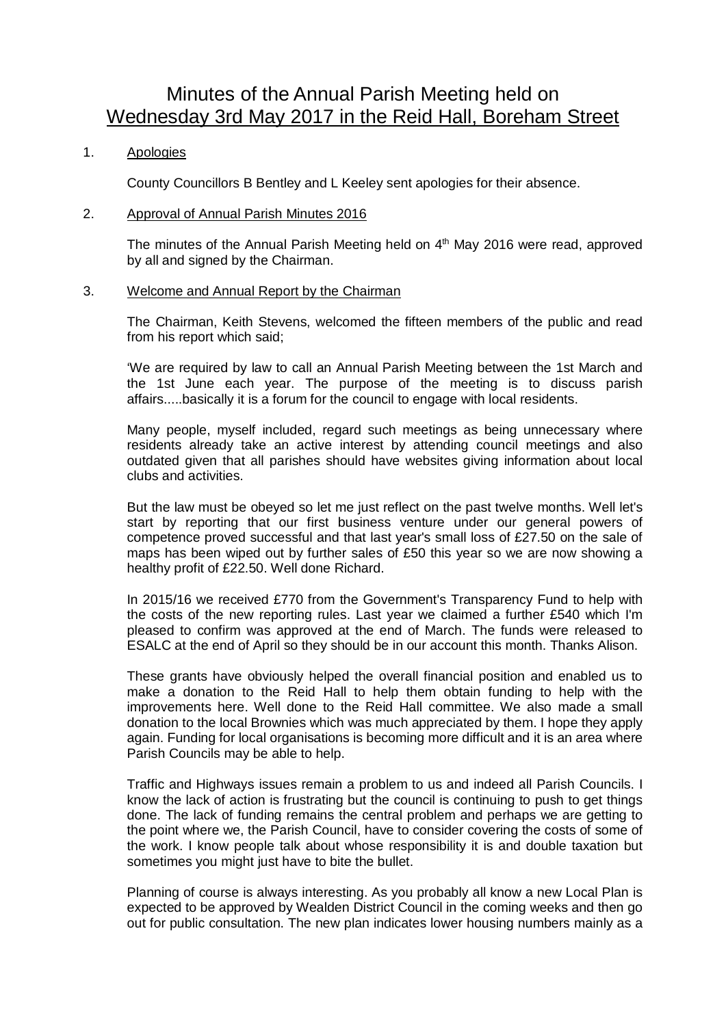# Minutes of the Annual Parish Meeting held on Wednesday 3rd May 2017 in the Reid Hall, Boreham Street

# 1. Apologies

County Councillors B Bentley and L Keeley sent apologies for their absence.

## 2. Approval of Annual Parish Minutes 2016

The minutes of the Annual Parish Meeting held on 4<sup>th</sup> May 2016 were read, approved by all and signed by the Chairman.

### 3. Welcome and Annual Report by the Chairman

The Chairman, Keith Stevens, welcomed the fifteen members of the public and read from his report which said;

'We are required by law to call an Annual Parish Meeting between the 1st March and the 1st June each year. The purpose of the meeting is to discuss parish affairs.....basically it is a forum for the council to engage with local residents.

Many people, myself included, regard such meetings as being unnecessary where residents already take an active interest by attending council meetings and also outdated given that all parishes should have websites giving information about local clubs and activities.

But the law must be obeyed so let me just reflect on the past twelve months. Well let's start by reporting that our first business venture under our general powers of competence proved successful and that last year's small loss of £27.50 on the sale of maps has been wiped out by further sales of £50 this year so we are now showing a healthy profit of £22.50. Well done Richard.

In 2015/16 we received £770 from the Government's Transparency Fund to help with the costs of the new reporting rules. Last year we claimed a further £540 which I'm pleased to confirm was approved at the end of March. The funds were released to ESALC at the end of April so they should be in our account this month. Thanks Alison.

These grants have obviously helped the overall financial position and enabled us to make a donation to the Reid Hall to help them obtain funding to help with the improvements here. Well done to the Reid Hall committee. We also made a small donation to the local Brownies which was much appreciated by them. I hope they apply again. Funding for local organisations is becoming more difficult and it is an area where Parish Councils may be able to help.

Traffic and Highways issues remain a problem to us and indeed all Parish Councils. I know the lack of action is frustrating but the council is continuing to push to get things done. The lack of funding remains the central problem and perhaps we are getting to the point where we, the Parish Council, have to consider covering the costs of some of the work. I know people talk about whose responsibility it is and double taxation but sometimes you might just have to bite the bullet.

Planning of course is always interesting. As you probably all know a new Local Plan is expected to be approved by Wealden District Council in the coming weeks and then go out for public consultation. The new plan indicates lower housing numbers mainly as a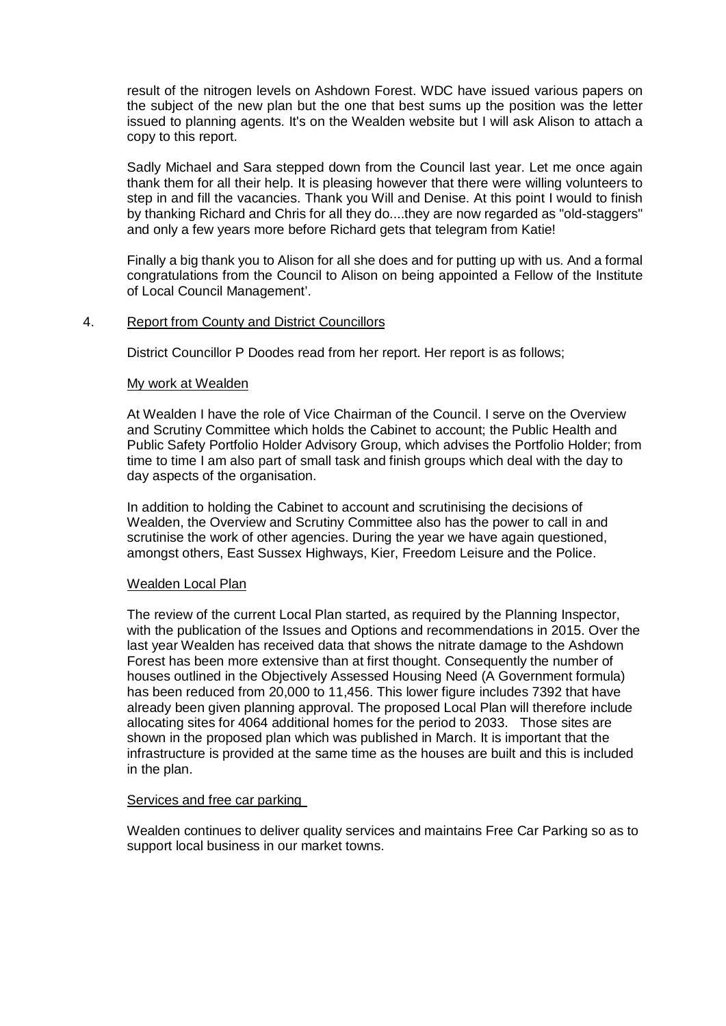result of the nitrogen levels on Ashdown Forest. WDC have issued various papers on the subject of the new plan but the one that best sums up the position was the letter issued to planning agents. It's on the Wealden website but I will ask Alison to attach a copy to this report.

Sadly Michael and Sara stepped down from the Council last year. Let me once again thank them for all their help. It is pleasing however that there were willing volunteers to step in and fill the vacancies. Thank you Will and Denise. At this point I would to finish by thanking Richard and Chris for all they do....they are now regarded as "old-staggers" and only a few years more before Richard gets that telegram from Katie!

Finally a big thank you to Alison for all she does and for putting up with us. And a formal congratulations from the Council to Alison on being appointed a Fellow of the Institute of Local Council Management'.

### 4. Report from County and District Councillors

District Councillor P Doodes read from her report. Her report is as follows;

### My work at Wealden

At Wealden I have the role of Vice Chairman of the Council. I serve on the Overview and Scrutiny Committee which holds the Cabinet to account; the Public Health and Public Safety Portfolio Holder Advisory Group, which advises the Portfolio Holder; from time to time I am also part of small task and finish groups which deal with the day to day aspects of the organisation.

In addition to holding the Cabinet to account and scrutinising the decisions of Wealden, the Overview and Scrutiny Committee also has the power to call in and scrutinise the work of other agencies. During the year we have again questioned, amongst others, East Sussex Highways, Kier, Freedom Leisure and the Police.

#### Wealden Local Plan

The review of the current Local Plan started, as required by the Planning Inspector, with the publication of the Issues and Options and recommendations in 2015. Over the last year Wealden has received data that shows the nitrate damage to the Ashdown Forest has been more extensive than at first thought. Consequently the number of houses outlined in the Objectively Assessed Housing Need (A Government formula) has been reduced from 20,000 to 11,456. This lower figure includes 7392 that have already been given planning approval. The proposed Local Plan will therefore include allocating sites for 4064 additional homes for the period to 2033. Those sites are shown in the proposed plan which was published in March. It is important that the infrastructure is provided at the same time as the houses are built and this is included in the plan.

### Services and free car parking

Wealden continues to deliver quality services and maintains Free Car Parking so as to support local business in our market towns.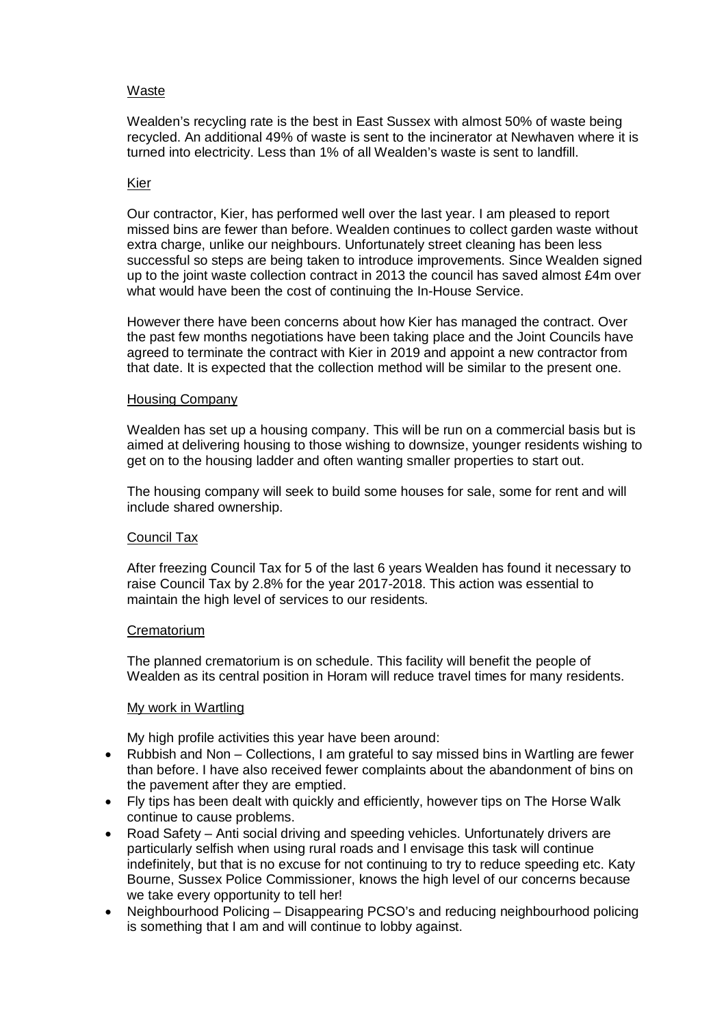## Waste

Wealden's recycling rate is the best in East Sussex with almost 50% of waste being recycled. An additional 49% of waste is sent to the incinerator at Newhaven where it is turned into electricity. Less than 1% of all Wealden's waste is sent to landfill.

## Kier

Our contractor, Kier, has performed well over the last year. I am pleased to report missed bins are fewer than before. Wealden continues to collect garden waste without extra charge, unlike our neighbours. Unfortunately street cleaning has been less successful so steps are being taken to introduce improvements. Since Wealden signed up to the joint waste collection contract in 2013 the council has saved almost £4m over what would have been the cost of continuing the In-House Service.

However there have been concerns about how Kier has managed the contract. Over the past few months negotiations have been taking place and the Joint Councils have agreed to terminate the contract with Kier in 2019 and appoint a new contractor from that date. It is expected that the collection method will be similar to the present one.

# Housing Company

Wealden has set up a housing company. This will be run on a commercial basis but is aimed at delivering housing to those wishing to downsize, younger residents wishing to get on to the housing ladder and often wanting smaller properties to start out.

The housing company will seek to build some houses for sale, some for rent and will include shared ownership.

# Council Tax

After freezing Council Tax for 5 of the last 6 years Wealden has found it necessary to raise Council Tax by 2.8% for the year 2017-2018. This action was essential to maintain the high level of services to our residents.

### **Crematorium**

The planned crematorium is on schedule. This facility will benefit the people of Wealden as its central position in Horam will reduce travel times for many residents.

### My work in Wartling

My high profile activities this year have been around:

- Rubbish and Non Collections, I am grateful to say missed bins in Wartling are fewer than before. I have also received fewer complaints about the abandonment of bins on the pavement after they are emptied.
- Fly tips has been dealt with quickly and efficiently, however tips on The Horse Walk continue to cause problems.
- Road Safety Anti social driving and speeding vehicles. Unfortunately drivers are particularly selfish when using rural roads and I envisage this task will continue indefinitely, but that is no excuse for not continuing to try to reduce speeding etc. Katy Bourne, Sussex Police Commissioner, knows the high level of our concerns because we take every opportunity to tell her!
- Neighbourhood Policing Disappearing PCSO's and reducing neighbourhood policing is something that I am and will continue to lobby against.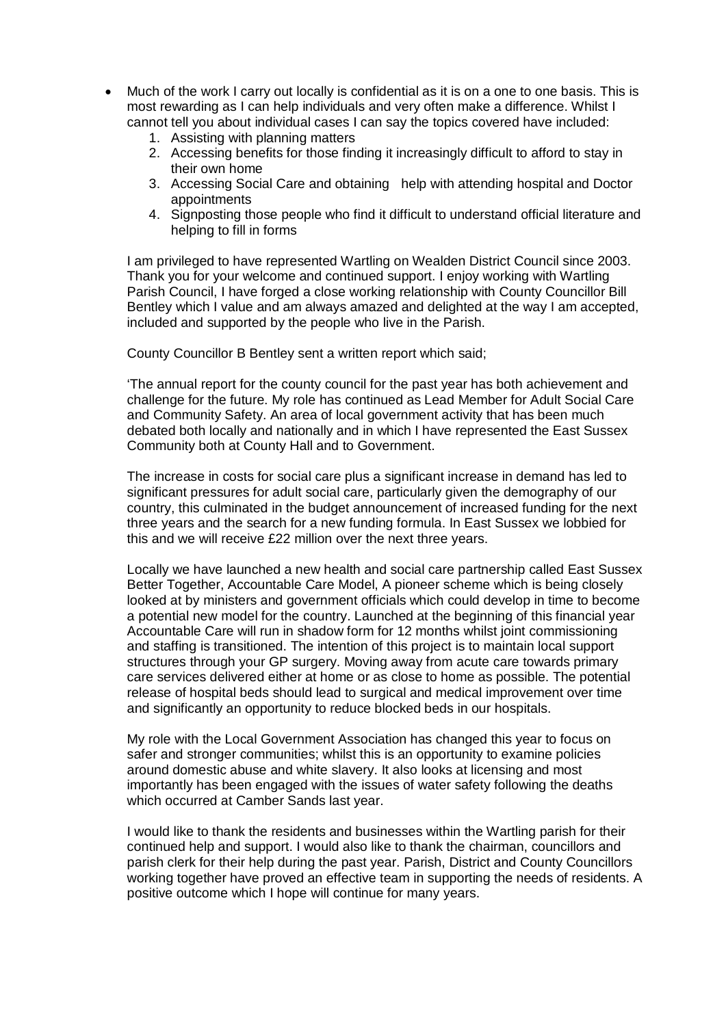- Much of the work I carry out locally is confidential as it is on a one to one basis. This is most rewarding as I can help individuals and very often make a difference. Whilst I cannot tell you about individual cases I can say the topics covered have included:
	- 1. Assisting with planning matters
	- 2. Accessing benefits for those finding it increasingly difficult to afford to stay in their own home
	- 3. Accessing Social Care and obtaining help with attending hospital and Doctor appointments
	- 4. Signposting those people who find it difficult to understand official literature and helping to fill in forms

I am privileged to have represented Wartling on Wealden District Council since 2003. Thank you for your welcome and continued support. I enjoy working with Wartling Parish Council, I have forged a close working relationship with County Councillor Bill Bentley which I value and am always amazed and delighted at the way I am accepted, included and supported by the people who live in the Parish.

County Councillor B Bentley sent a written report which said;

'The annual report for the county council for the past year has both achievement and challenge for the future. My role has continued as Lead Member for Adult Social Care and Community Safety. An area of local government activity that has been much debated both locally and nationally and in which I have represented the East Sussex Community both at County Hall and to Government.

The increase in costs for social care plus a significant increase in demand has led to significant pressures for adult social care, particularly given the demography of our country, this culminated in the budget announcement of increased funding for the next three years and the search for a new funding formula. In East Sussex we lobbied for this and we will receive £22 million over the next three years.

Locally we have launched a new health and social care partnership called East Sussex Better Together, Accountable Care Model, A pioneer scheme which is being closely looked at by ministers and government officials which could develop in time to become a potential new model for the country. Launched at the beginning of this financial year Accountable Care will run in shadow form for 12 months whilst joint commissioning and staffing is transitioned. The intention of this project is to maintain local support structures through your GP surgery. Moving away from acute care towards primary care services delivered either at home or as close to home as possible. The potential release of hospital beds should lead to surgical and medical improvement over time and significantly an opportunity to reduce blocked beds in our hospitals.

My role with the Local Government Association has changed this year to focus on safer and stronger communities; whilst this is an opportunity to examine policies around domestic abuse and white slavery. It also looks at licensing and most importantly has been engaged with the issues of water safety following the deaths which occurred at Camber Sands last year.

I would like to thank the residents and businesses within the Wartling parish for their continued help and support. I would also like to thank the chairman, councillors and parish clerk for their help during the past year. Parish, District and County Councillors working together have proved an effective team in supporting the needs of residents. A positive outcome which I hope will continue for many years.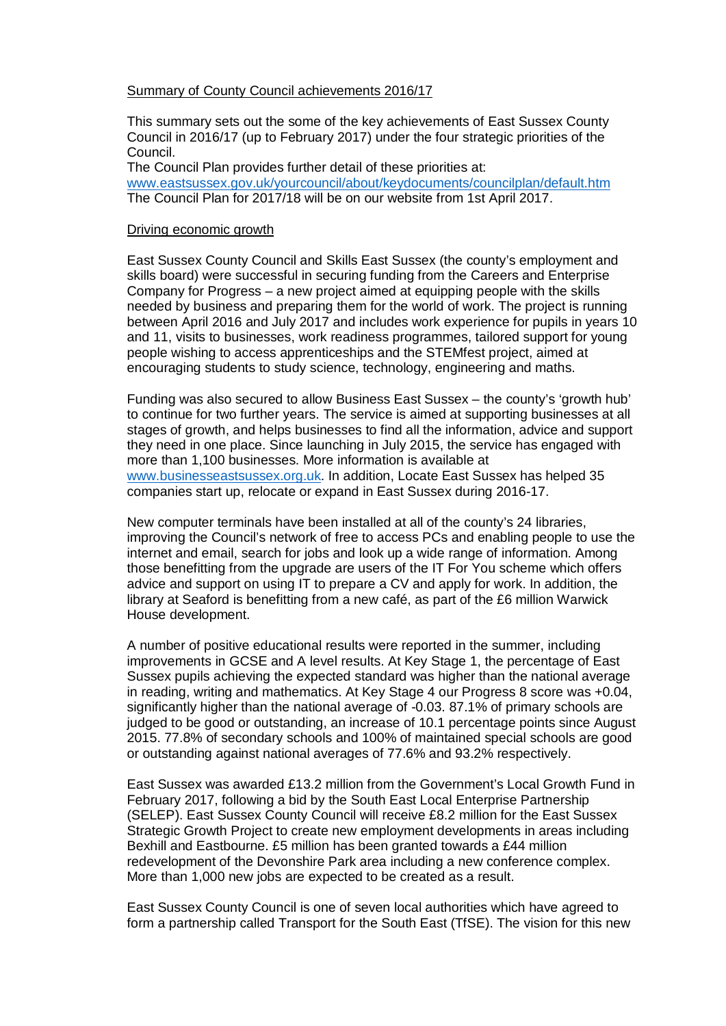### Summary of County Council achievements 2016/17

This summary sets out the some of the key achievements of East Sussex County Council in 2016/17 (up to February 2017) under the four strategic priorities of the Council.

The Council Plan provides further detail of these priorities at: [www.eastsussex.gov.uk/yourcouncil/about/keydocuments/councilplan/default.htm](http://www.eastsussex.gov.uk/yourcouncil/about/keydocuments/councilplan/default.htm) The Council Plan for 2017/18 will be on our website from 1st April 2017.

## Driving economic growth

East Sussex County Council and Skills East Sussex (the county's employment and skills board) were successful in securing funding from the Careers and Enterprise Company for Progress – a new project aimed at equipping people with the skills needed by business and preparing them for the world of work. The project is running between April 2016 and July 2017 and includes work experience for pupils in years 10 and 11, visits to businesses, work readiness programmes, tailored support for young people wishing to access apprenticeships and the STEMfest project, aimed at encouraging students to study science, technology, engineering and maths.

Funding was also secured to allow Business East Sussex – the county's 'growth hub' to continue for two further years. The service is aimed at supporting businesses at all stages of growth, and helps businesses to find all the information, advice and support they need in one place. Since launching in July 2015, the service has engaged with more than 1,100 businesses. More information is available at [www.businesseastsussex.org.uk.](http://www.businesseastsussex.org.uk/) In addition, Locate East Sussex has helped 35 companies start up, relocate or expand in East Sussex during 2016-17.

New computer terminals have been installed at all of the county's 24 libraries, improving the Council's network of free to access PCs and enabling people to use the internet and email, search for jobs and look up a wide range of information. Among those benefitting from the upgrade are users of the IT For You scheme which offers advice and support on using IT to prepare a CV and apply for work. In addition, the library at Seaford is benefitting from a new café, as part of the £6 million Warwick House development.

A number of positive educational results were reported in the summer, including improvements in GCSE and A level results. At Key Stage 1, the percentage of East Sussex pupils achieving the expected standard was higher than the national average in reading, writing and mathematics. At Key Stage 4 our Progress 8 score was +0.04, significantly higher than the national average of -0.03. 87.1% of primary schools are judged to be good or outstanding, an increase of 10.1 percentage points since August 2015. 77.8% of secondary schools and 100% of maintained special schools are good or outstanding against national averages of 77.6% and 93.2% respectively.

East Sussex was awarded £13.2 million from the Government's Local Growth Fund in February 2017, following a bid by the South East Local Enterprise Partnership (SELEP). East Sussex County Council will receive £8.2 million for the East Sussex Strategic Growth Project to create new employment developments in areas including Bexhill and Eastbourne. £5 million has been granted towards a £44 million redevelopment of the Devonshire Park area including a new conference complex. More than 1,000 new jobs are expected to be created as a result.

East Sussex County Council is one of seven local authorities which have agreed to form a partnership called Transport for the South East (TfSE). The vision for this new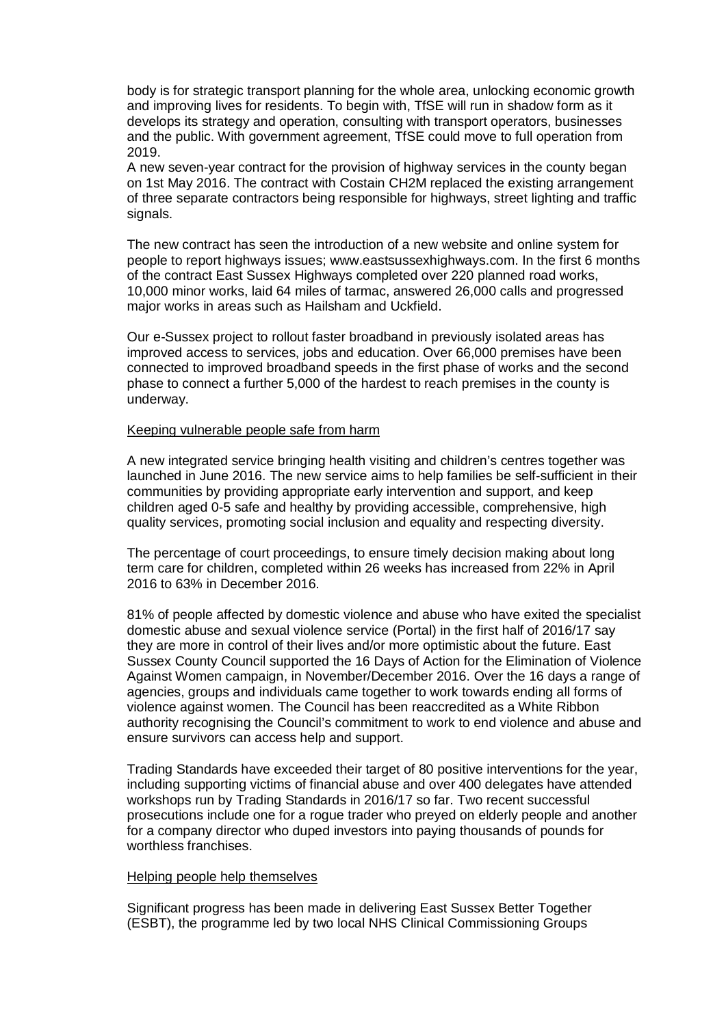body is for strategic transport planning for the whole area, unlocking economic growth and improving lives for residents. To begin with, TfSE will run in shadow form as it develops its strategy and operation, consulting with transport operators, businesses and the public. With government agreement, TfSE could move to full operation from 2019.

A new seven-year contract for the provision of highway services in the county began on 1st May 2016. The contract with Costain CH2M replaced the existing arrangement of three separate contractors being responsible for highways, street lighting and traffic signals.

The new contract has seen the introduction of a new website and online system for people to report highways issues; www.eastsussexhighways.com. In the first 6 months of the contract East Sussex Highways completed over 220 planned road works, 10,000 minor works, laid 64 miles of tarmac, answered 26,000 calls and progressed major works in areas such as Hailsham and Uckfield.

Our e-Sussex project to rollout faster broadband in previously isolated areas has improved access to services, jobs and education. Over 66,000 premises have been connected to improved broadband speeds in the first phase of works and the second phase to connect a further 5,000 of the hardest to reach premises in the county is underway.

### Keeping vulnerable people safe from harm

A new integrated service bringing health visiting and children's centres together was launched in June 2016. The new service aims to help families be self-sufficient in their communities by providing appropriate early intervention and support, and keep children aged 0-5 safe and healthy by providing accessible, comprehensive, high quality services, promoting social inclusion and equality and respecting diversity.

The percentage of court proceedings, to ensure timely decision making about long term care for children, completed within 26 weeks has increased from 22% in April 2016 to 63% in December 2016.

81% of people affected by domestic violence and abuse who have exited the specialist domestic abuse and sexual violence service (Portal) in the first half of 2016/17 say they are more in control of their lives and/or more optimistic about the future. East Sussex County Council supported the 16 Days of Action for the Elimination of Violence Against Women campaign, in November/December 2016. Over the 16 days a range of agencies, groups and individuals came together to work towards ending all forms of violence against women. The Council has been reaccredited as a White Ribbon authority recognising the Council's commitment to work to end violence and abuse and ensure survivors can access help and support.

Trading Standards have exceeded their target of 80 positive interventions for the year, including supporting victims of financial abuse and over 400 delegates have attended workshops run by Trading Standards in 2016/17 so far. Two recent successful prosecutions include one for a rogue trader who preyed on elderly people and another for a company director who duped investors into paying thousands of pounds for worthless franchises.

### Helping people help themselves

Significant progress has been made in delivering East Sussex Better Together (ESBT), the programme led by two local NHS Clinical Commissioning Groups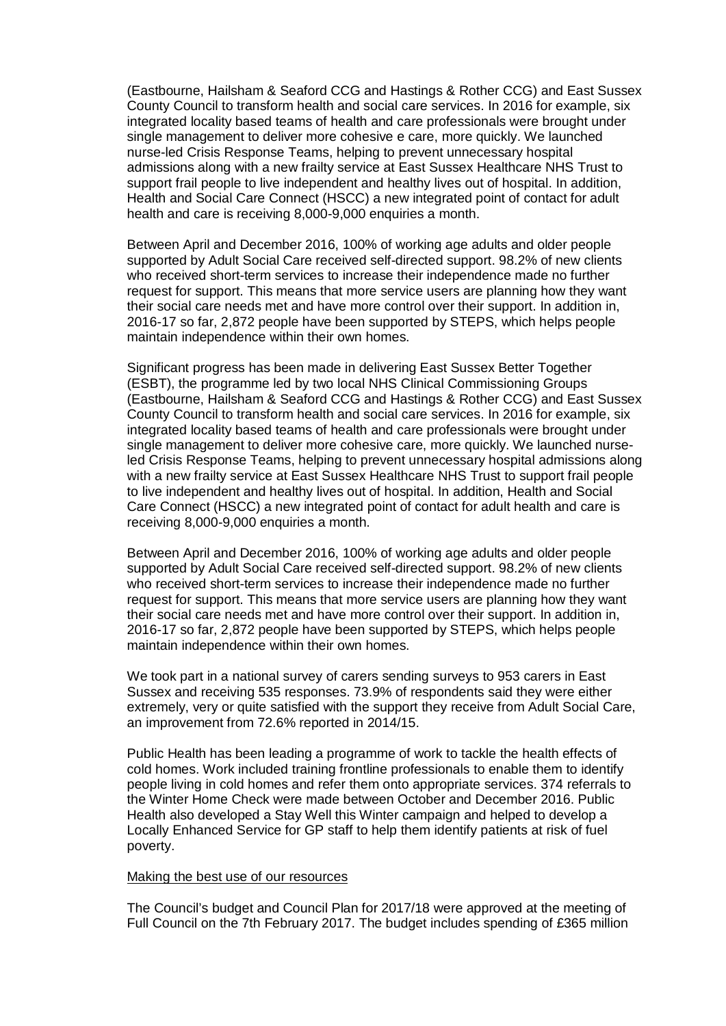(Eastbourne, Hailsham & Seaford CCG and Hastings & Rother CCG) and East Sussex County Council to transform health and social care services. In 2016 for example, six integrated locality based teams of health and care professionals were brought under single management to deliver more cohesive e care, more quickly. We launched nurse-led Crisis Response Teams, helping to prevent unnecessary hospital admissions along with a new frailty service at East Sussex Healthcare NHS Trust to support frail people to live independent and healthy lives out of hospital. In addition, Health and Social Care Connect (HSCC) a new integrated point of contact for adult health and care is receiving 8,000-9,000 enquiries a month.

Between April and December 2016, 100% of working age adults and older people supported by Adult Social Care received self-directed support. 98.2% of new clients who received short-term services to increase their independence made no further request for support. This means that more service users are planning how they want their social care needs met and have more control over their support. In addition in, 2016-17 so far, 2,872 people have been supported by STEPS, which helps people maintain independence within their own homes.

Significant progress has been made in delivering East Sussex Better Together (ESBT), the programme led by two local NHS Clinical Commissioning Groups (Eastbourne, Hailsham & Seaford CCG and Hastings & Rother CCG) and East Sussex County Council to transform health and social care services. In 2016 for example, six integrated locality based teams of health and care professionals were brought under single management to deliver more cohesive care, more quickly. We launched nurseled Crisis Response Teams, helping to prevent unnecessary hospital admissions along with a new frailty service at East Sussex Healthcare NHS Trust to support frail people to live independent and healthy lives out of hospital. In addition, Health and Social Care Connect (HSCC) a new integrated point of contact for adult health and care is receiving 8,000-9,000 enquiries a month.

Between April and December 2016, 100% of working age adults and older people supported by Adult Social Care received self-directed support. 98.2% of new clients who received short-term services to increase their independence made no further request for support. This means that more service users are planning how they want their social care needs met and have more control over their support. In addition in, 2016-17 so far, 2,872 people have been supported by STEPS, which helps people maintain independence within their own homes.

We took part in a national survey of carers sending surveys to 953 carers in East Sussex and receiving 535 responses. 73.9% of respondents said they were either extremely, very or quite satisfied with the support they receive from Adult Social Care, an improvement from 72.6% reported in 2014/15.

Public Health has been leading a programme of work to tackle the health effects of cold homes. Work included training frontline professionals to enable them to identify people living in cold homes and refer them onto appropriate services. 374 referrals to the Winter Home Check were made between October and December 2016. Public Health also developed a Stay Well this Winter campaign and helped to develop a Locally Enhanced Service for GP staff to help them identify patients at risk of fuel poverty.

### Making the best use of our resources

The Council's budget and Council Plan for 2017/18 were approved at the meeting of Full Council on the 7th February 2017. The budget includes spending of £365 million